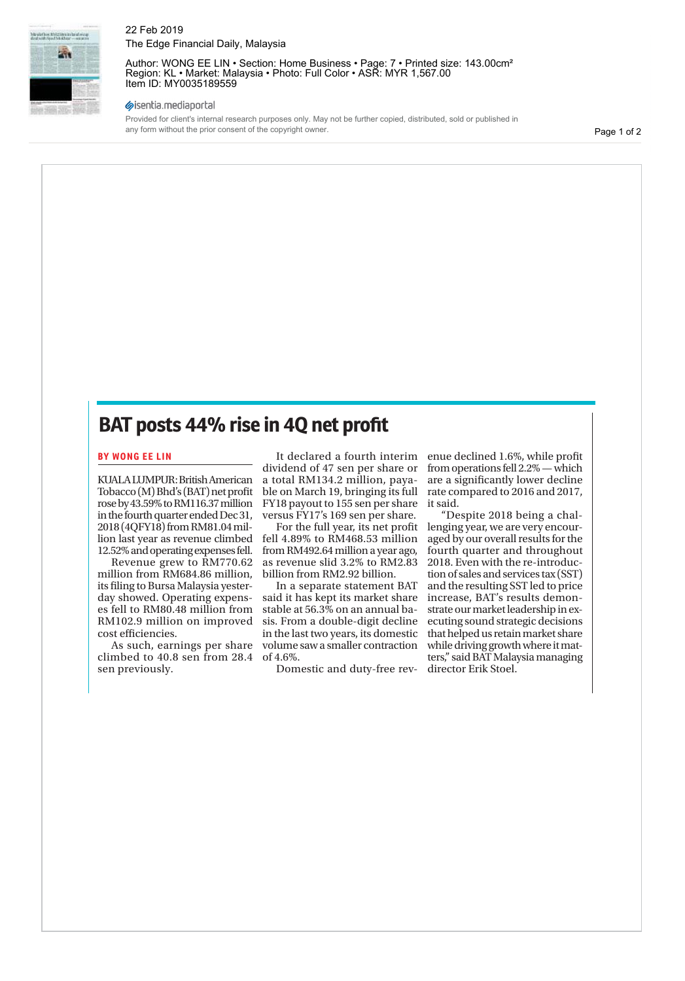

22 Feb 2019 The Edge Financial Daily, Malaysia

Author: WONG EE LIN · Section: Home Business · Page: 7 · Printed size: 143.00cm<sup>2</sup> Region: KL • Market: Malaysia • Photo: Full Color • ASR: MYR 1,567.00 Item ID: MY0035189559

#### sisentia.mediaportal

Provided for client's internal research purposes only. May not be further copied, distributed, sold or published in any form without the prior consent of the copyright owner.

Page 1 of 2

# **BAT posts 44% rise in 4Q net profit**

#### **BY WONG EE LIN**

KUALA LUMPUR: British American Tobacco (M) Bhd's (BAT) net profit rose by 43.59% to RM116.37 million in the fourth quarter ended Dec 31, 2018 (4QFY18) from RM81.04 million last year as revenue climbed 12.52% and operating expenses fell.

Revenue grew to RM770.62 million from RM684.86 million, its filing to Bursa Malaysia yesterday showed. Operating expenses fell to RM80.48 million from RM102.9 million on improved cost efficiencies.

As such, earnings per share climbed to 40.8 sen from 28.4 sen previously.

It declared a fourth interim dividend of 47 sen per share or a total RM134.2 million, payable on March 19, bringing its full FY18 payout to 155 sen per share versus FY17's 169 sen per share.

For the full year, its net profit fell 4.89% to RM468.53 million from RM492.64 million a year ago, as revenue slid 3.2% to RM2.83 billion from RM2.92 billion.

In a separate statement BAT said it has kept its market share stable at 56.3% on an annual basis. From a double-digit decline in the last two years, its domestic volume saw a smaller contraction of 4.6%.

Domestic and duty-free rev-

enue declined 1.6%, while profit from operations fell 2.2% — which are a significantly lower decline rate compared to 2016 and 2017, it said.

"Despite 2018 being a challenging year, we are very encouraged by our overall results for the fourth quarter and throughout 2018. Even with the re-introduction of sales and services tax (SST) and the resulting SST led to price increase, BAT's results demonstrate our market leadership in executing sound strategic decisions that helped us retain market share while driving growth where it matters," said BAT Malaysia managing director Erik Stoel.